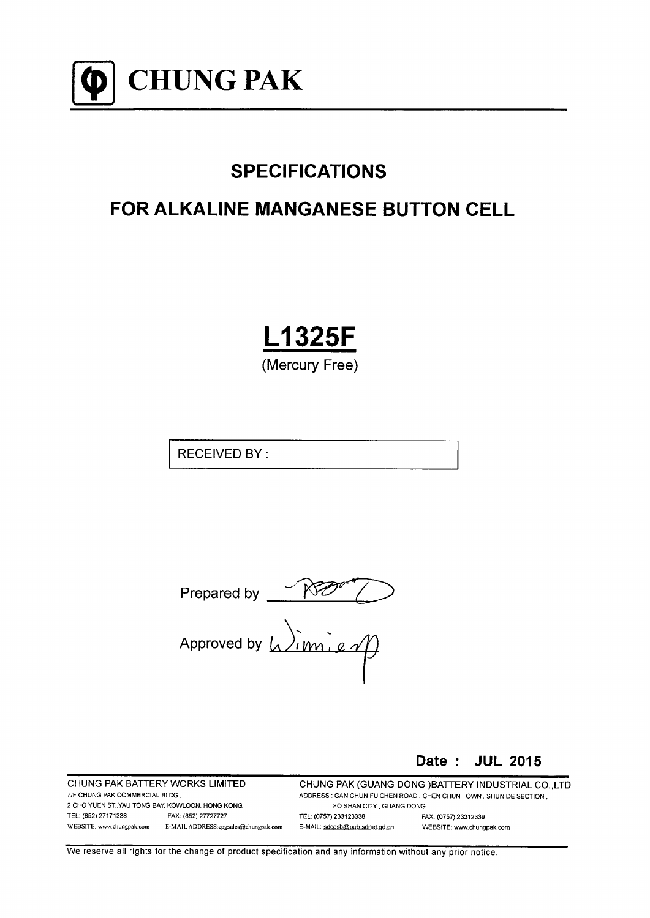

# **SPECIFICATIONS**

## **FOR ALKALINE MANGANESE BUTTON CELL**

**L1325F** 

(Mercury Free)

**RECEIVED BY:** 

Prepared by  $\frac{\sqrt{N}}{\sqrt{N}}$ <br>Approved by  $\sqrt{N}$ 

Date: JUL 2015

CHUNG PAK BATTERY WORKS LIMITED 7/F CHUNG PAK COMMERCIAL BLDG. 2 CHO YUEN ST., YAU TONG BAY, KOWLOON, HONG KONG. TEL: (852) 27171338 FAX: (852) 27727727 WEBSITE: www.chungpak.com E-MAIL ADDRESS:cpgsales@chungpak.com CHUNG PAK (GUANG DONG) BATTERY INDUSTRIAL CO., LTD ADDRESS: GAN CHUN FU CHEN ROAD, CHEN CHUN TOWN, SHUN DE SECTION, FO SHAN CITY, GUANG DONG. FAX: (0757) 23312339 TEL: (0757) 233123338 E-MAIL: sdcpsb@pub.sdnet.gd.cn WEBSITE: www.chungpak.com

We reserve all rights for the change of product specification and any information without any prior notice.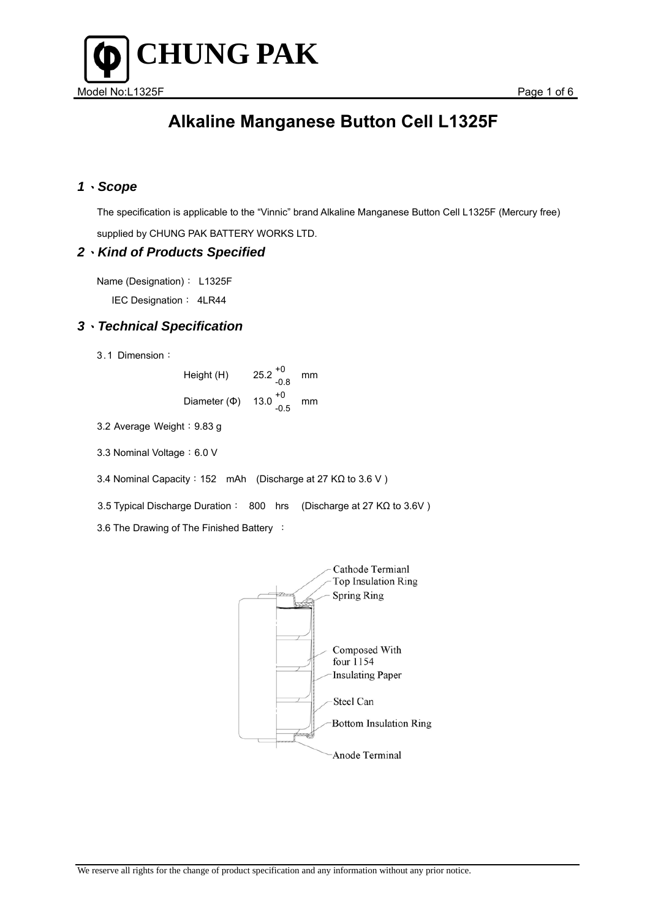

### *1*、*Scope*

 The specification is applicable to the "Vinnic" brand Alkaline Manganese Button Cell L1325F (Mercury free) supplied by CHUNG PAK BATTERY WORKS LTD.

### *2*、*Kind of Products Specified*

Name (Designation): L1325F IEC Designation: 4LR44

### *3*、*Technical Specification*

3.1 Dimension:

| Height (H)        | $25.2^{+0}_{-0.8}$ | mm |
|-------------------|--------------------|----|
| Diameter $(\Phi)$ | $13.0^{+0}_{-0.5}$ | mm |

3.2 Average Weight: 9.83 g

3.3 Nominal Voltage: 6.0 V

3.4 Nominal Capacity:152 mAh (Discharge at 27 KΩ to 3.6 V )

3.5 Typical Discharge Duration: 800 hrs (Discharge at 27 KΩ to 3.6V )

3.6 The Drawing of The Finished Battery :

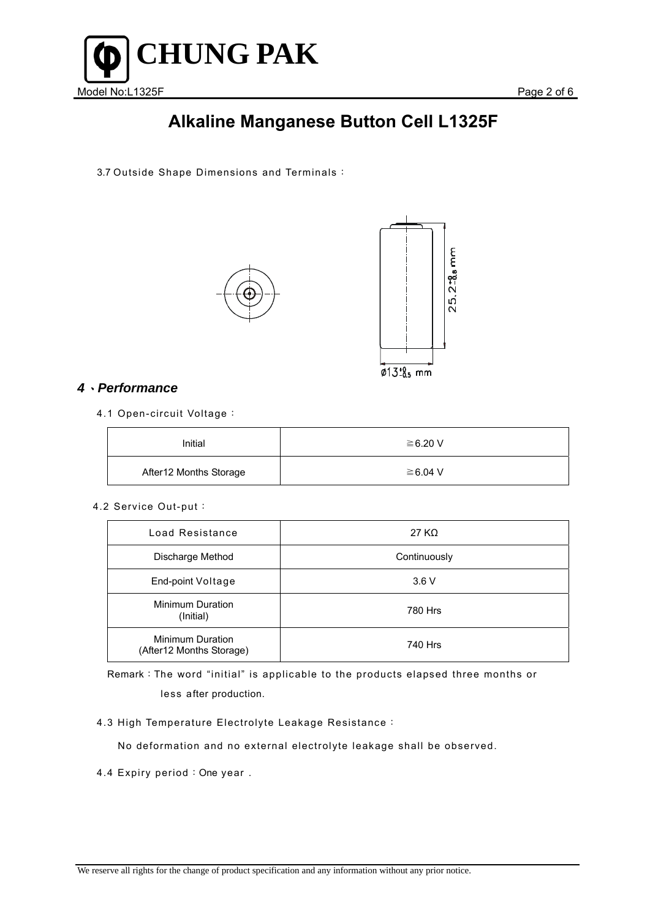

3.7 Outside Shape Dimensions and Terminals:





### *4*、*Performance*

4.1 Open-circuit Voltage:

| Initial                | $\geq 6.20$ V |
|------------------------|---------------|
| After12 Months Storage | $\geq 6.04$ V |

4.2 Service Out-put:

| Load Resistance                                     | 27 K $\Omega$ |
|-----------------------------------------------------|---------------|
| Discharge Method                                    | Continuously  |
| End-point Voltage                                   | 3.6V          |
| Minimum Duration<br>(Initial)                       | 780 Hrs       |
| <b>Minimum Duration</b><br>(After12 Months Storage) | 740 Hrs       |

Remark:The word "initial" is applicable to the products elapsed three months or less after production.

4.3 High Temperature Electrolyte Leakage Resistance:

No deformation and no external electrolyte leakage shall be observed.

4.4 Expiry period: One year.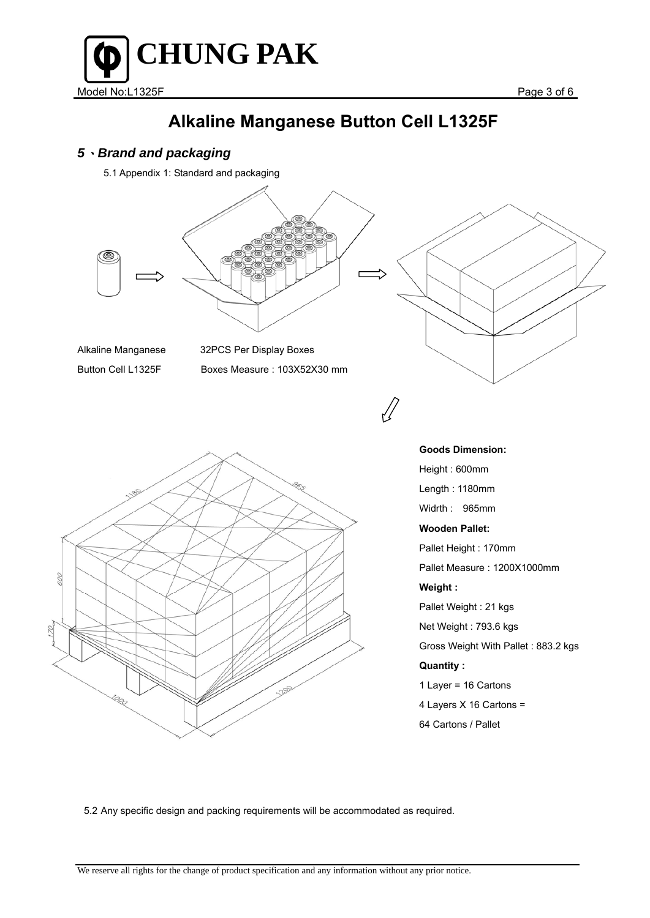

### *5*、*Brand and packaging*

5.1 Appendix 1: Standard and packaging



5.2 Any specific design and packing requirements will be accommodated as required.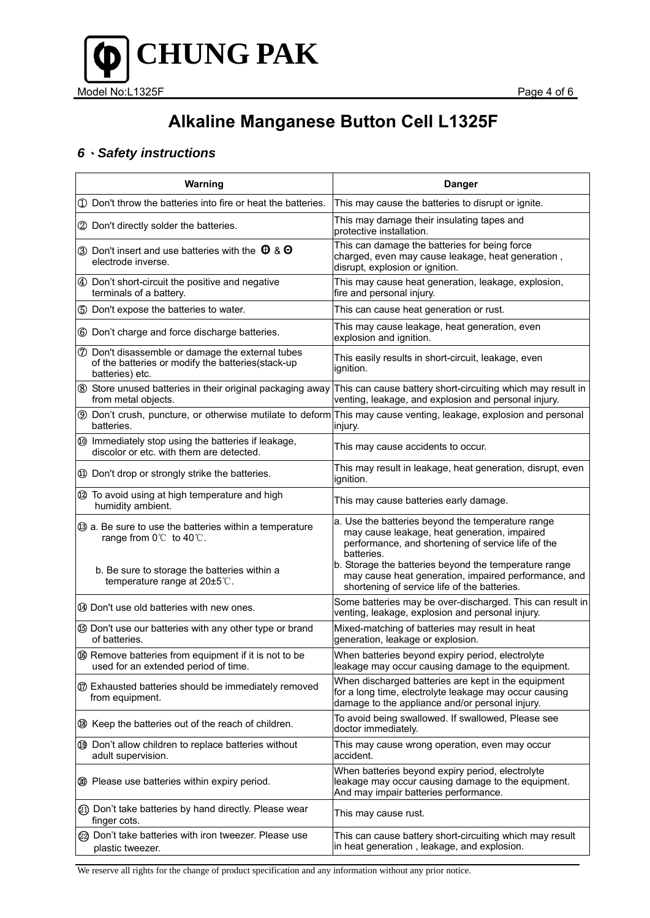

### *6*、*Safety instructions*

| Warning                                                                                                                                                        | <b>Danger</b>                                                                                                                                                                                                                                                                          |
|----------------------------------------------------------------------------------------------------------------------------------------------------------------|----------------------------------------------------------------------------------------------------------------------------------------------------------------------------------------------------------------------------------------------------------------------------------------|
| 1 Don't throw the batteries into fire or heat the batteries.                                                                                                   | This may cause the batteries to disrupt or ignite.                                                                                                                                                                                                                                     |
| 2 Don't directly solder the batteries.                                                                                                                         | This may damage their insulating tapes and<br>protective installation.                                                                                                                                                                                                                 |
| 3 Don't insert and use batteries with the $\theta$ & $\Theta$<br>electrode inverse.                                                                            | This can damage the batteries for being force<br>charged, even may cause leakage, heat generation,<br>disrupt, explosion or ignition.                                                                                                                                                  |
| 4 Don't short-circuit the positive and negative<br>terminals of a battery.                                                                                     | This may cause heat generation, leakage, explosion,<br>fire and personal injury.                                                                                                                                                                                                       |
| 5 Don't expose the batteries to water.                                                                                                                         | This can cause heat generation or rust.                                                                                                                                                                                                                                                |
| 6 Don't charge and force discharge batteries.                                                                                                                  | This may cause leakage, heat generation, even<br>explosion and ignition.                                                                                                                                                                                                               |
| <b>7</b> Don't disassemble or damage the external tubes<br>of the batteries or modify the batteries(stack-up<br>batteries) etc.                                | This easily results in short-circuit, leakage, even<br>ignition.                                                                                                                                                                                                                       |
| 8 Store unused batteries in their original packaging away<br>from metal objects.                                                                               | This can cause battery short-circuiting which may result in<br>venting, leakage, and explosion and personal injury.                                                                                                                                                                    |
| batteries.                                                                                                                                                     | <b>9</b> Don't crush, puncture, or otherwise mutilate to deform This may cause venting, leakage, explosion and personal<br>injury.                                                                                                                                                     |
| 10 Immediately stop using the batteries if leakage,<br>discolor or etc. with them are detected.                                                                | This may cause accidents to occur.                                                                                                                                                                                                                                                     |
| 10 Don't drop or strongly strike the batteries.                                                                                                                | This may result in leakage, heat generation, disrupt, even<br>ignition.                                                                                                                                                                                                                |
| 12 To avoid using at high temperature and high<br>humidity ambient.                                                                                            | This may cause batteries early damage.                                                                                                                                                                                                                                                 |
| 3 a. Be sure to use the batteries within a temperature<br>range from 0℃ to 40℃.<br>b. Be sure to storage the batteries within a<br>temperature range at 20±5℃. | a. Use the batteries beyond the temperature range<br>may cause leakage, heat generation, impaired<br>performance, and shortening of service life of the<br>batteries.<br>b. Storage the batteries beyond the temperature range<br>may cause heat generation, impaired performance, and |
| 49 Don't use old batteries with new ones.                                                                                                                      | shortening of service life of the batteries.<br>Some batteries may be over-discharged. This can result in<br>venting, leakage, explosion and personal injury.                                                                                                                          |
| <b>5</b> Don't use our batteries with any other type or brand<br>of batteries.                                                                                 | Mixed-matching of batteries may result in heat<br>generation, leakage or explosion.                                                                                                                                                                                                    |
| <b>66</b> Remove batteries from equipment if it is not to be<br>used for an extended period of time.                                                           | When batteries beyond expiry period, electrolyte<br>leakage may occur causing damage to the equipment.                                                                                                                                                                                 |
| 10 Exhausted batteries should be immediately removed<br>from equipment.                                                                                        | When discharged batteries are kept in the equipment<br>for a long time, electrolyte leakage may occur causing<br>damage to the appliance and/or personal injury.                                                                                                                       |
| 18 Keep the batteries out of the reach of children.                                                                                                            | To avoid being swallowed. If swallowed, Please see<br>doctor immediately.                                                                                                                                                                                                              |
| 19 Don't allow children to replace batteries without<br>adult supervision.                                                                                     | This may cause wrong operation, even may occur<br>accident.                                                                                                                                                                                                                            |
| 20 Please use batteries within expiry period.                                                                                                                  | When batteries beyond expiry period, electrolyte<br>leakage may occur causing damage to the equipment.<br>And may impair batteries performance.                                                                                                                                        |
| 21) Don't take batteries by hand directly. Please wear<br>finger cots.                                                                                         | This may cause rust.                                                                                                                                                                                                                                                                   |
| 22 Don't take batteries with iron tweezer. Please use<br>plastic tweezer.                                                                                      | This can cause battery short-circuiting which may result<br>in heat generation, leakage, and explosion.                                                                                                                                                                                |

We reserve all rights for the change of product specification and any information without any prior notice.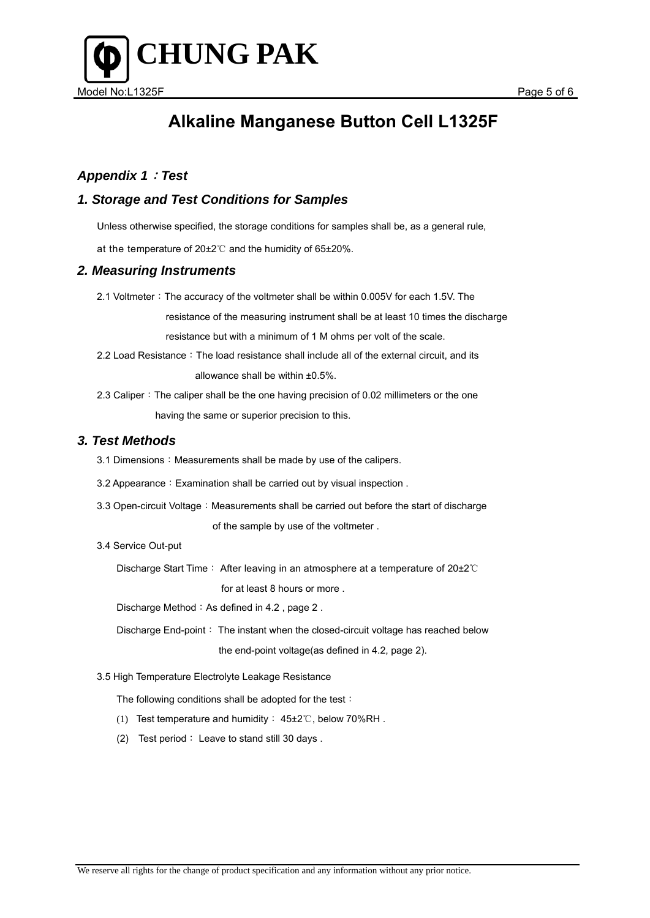

### *Appendix 1*:*Test*

### *1. Storage and Test Conditions for Samples*

Unless otherwise specified, the storage conditions for samples shall be, as a general rule,

at the temperature of 20±2℃ and the humidity of 65±20%.

#### *2. Measuring Instruments*

2.1 Voltmeter: The accuracy of the voltmeter shall be within 0.005V for each 1.5V. The

resistance of the measuring instrument shall be at least 10 times the discharge

resistance but with a minimum of 1 M ohms per volt of the scale.

- 2.2 Load Resistance: The load resistance shall include all of the external circuit, and its allowance shall be within ±0.5%.
- 2.3 Caliper: The caliper shall be the one having precision of 0.02 millimeters or the one having the same or superior precision to this.

#### *3. Test Methods*

- 3.1 Dimensions: Measurements shall be made by use of the calipers.
- 3.2 Appearance: Examination shall be carried out by visual inspection.
- 3.3 Open-circuit Voltage: Measurements shall be carried out before the start of discharge of the sample by use of the voltmeter .

#### 3.4 Service Out-put

Discharge Start Time: After leaving in an atmosphere at a temperature of 20±2℃ for at least 8 hours or more .

Discharge Method: As defined in 4.2, page 2.

Discharge End-point: The instant when the closed-circuit voltage has reached below the end-point voltage(as defined in 4.2, page 2).

3.5 High Temperature Electrolyte Leakage Resistance

The following conditions shall be adopted for the test:

- (1) Test temperature and humidity: 45±2℃, below 70%RH .
- (2) Test period: Leave to stand still 30 days .